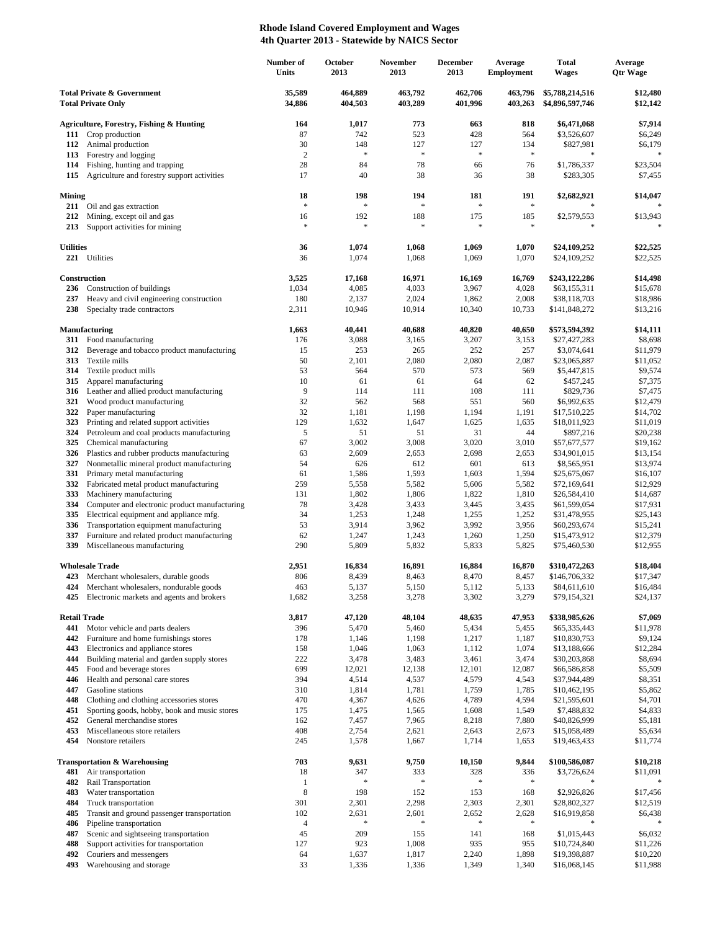## **Rhode Island Covered Employment and Wages 4th Quarter 2013 - Statewide by NAICS Sector**

|                                                                    |                                                                                       | Number of<br>Units | October<br>2013    | November<br>2013     | <b>December</b><br>2013 | Average<br><b>Employment</b> | <b>Total</b><br><b>Wages</b>       | Average<br><b>Qtr Wage</b> |
|--------------------------------------------------------------------|---------------------------------------------------------------------------------------|--------------------|--------------------|----------------------|-------------------------|------------------------------|------------------------------------|----------------------------|
| <b>Total Private &amp; Government</b><br><b>Total Private Only</b> |                                                                                       | 35,589<br>34,886   | 464,889<br>404,503 | 463,792<br>403,289   | 462,706<br>401,996      | 463.796<br>403,263           | \$5,788,214,516<br>\$4,896,597,746 | \$12,480<br>\$12,142       |
|                                                                    | <b>Agriculture, Forestry, Fishing &amp; Hunting</b>                                   | 164                | 1,017              | 773                  | 663                     | 818                          | \$6,471,068                        | \$7,914                    |
| 111                                                                | Crop production                                                                       | 87                 | 742                | 523                  | 428                     | 564                          | \$3,526,607                        | \$6,249                    |
| 112                                                                | Animal production                                                                     | 30                 | 148                | 127                  | 127                     | 134                          | \$827,981                          | \$6,179                    |
| 113                                                                | Forestry and logging                                                                  | $\mathbf{2}$       | $\ast$             | $\ast$               | $\approx$               | $\ast$                       | $\ast$                             |                            |
| 114<br>115                                                         | Fishing, hunting and trapping                                                         | 28<br>17           | 84<br>40           | 78<br>38             | 66<br>36                | 76<br>38                     | \$1,786,337<br>\$283,305           | \$23,504<br>\$7,455        |
|                                                                    | Agriculture and forestry support activities                                           |                    |                    |                      |                         |                              |                                    |                            |
| Mining<br>211                                                      | Oil and gas extraction                                                                | 18<br>$\ast$       | 198<br>$\ast$      | 194<br>$\frac{1}{2}$ | 181<br>$\ast$           | 191<br>$\frac{1}{2}$         | \$2,682,921                        | \$14,047                   |
| 212<br>213                                                         | Mining, except oil and gas<br>Support activities for mining                           | 16<br>$\ast$       | 192<br>$\ast$      | 188<br>$\ast$        | 175<br>$\approx$        | 185<br>$\ast$                | \$2,579,553<br>$\ast$              | \$13,943<br>$\ast$         |
| <b>Utilities</b>                                                   |                                                                                       | 36                 | 1,074              | 1,068                | 1,069                   | 1,070                        | \$24,109,252                       | \$22,525                   |
|                                                                    | 221 Utilities                                                                         | 36                 | 1,074              | 1,068                | 1,069                   | 1,070                        | \$24,109,252                       | \$22,525                   |
|                                                                    | Construction<br>Construction of buildings                                             | 3,525              | 17,168             | 16,971               | 16,169                  | 16,769                       | \$243,122,286                      | \$14,498                   |
| 236<br>237                                                         | Heavy and civil engineering construction                                              | 1,034<br>180       | 4,085<br>2,137     | 4,033<br>2,024       | 3,967<br>1,862          | 4,028<br>2,008               | \$63,155,311<br>\$38,118,703       | \$15,678<br>\$18,986       |
| 238                                                                | Specialty trade contractors                                                           | 2,311              | 10,946             | 10,914               | 10,340                  | 10,733                       | \$141,848,272                      | \$13,216                   |
|                                                                    | Manufacturing                                                                         | 1,663              | 40,441             | 40,688               | 40,820                  | 40,650                       | \$573,594,392                      | \$14,111                   |
|                                                                    | 311 Food manufacturing                                                                | 176                | 3,088              | 3,165                | 3,207                   | 3,153                        | \$27,427,283                       | \$8,698                    |
| 312                                                                | Beverage and tobacco product manufacturing                                            | 15                 | 253                | 265                  | 252                     | 257                          | \$3,074,641                        | \$11,979                   |
| 313                                                                | Textile mills                                                                         | 50                 | 2,101              | 2,080                | 2,080                   | 2,087                        | \$23,065,887                       | \$11,052                   |
| 314<br>315                                                         | Textile product mills<br>Apparel manufacturing                                        | 53<br>10           | 564<br>61          | 570<br>61            | 573<br>64               | 569<br>62                    | \$5,447,815<br>\$457,245           | \$9,574<br>\$7,375         |
|                                                                    | 316 Leather and allied product manufacturing                                          | 9                  | 114                | 111                  | 108                     | 111                          | \$829,736                          | \$7,475                    |
| 321                                                                | Wood product manufacturing                                                            | 32                 | 562                | 568                  | 551                     | 560                          | \$6,992,635                        | \$12,479                   |
| 322                                                                | Paper manufacturing                                                                   | 32                 | 1,181              | 1,198                | 1,194                   | 1,191                        | \$17,510,225                       | \$14,702                   |
| 323                                                                | Printing and related support activities                                               | 129                | 1,632              | 1,647                | 1,625                   | 1,635                        | \$18,011,923                       | \$11,019                   |
| 324                                                                | Petroleum and coal products manufacturing                                             | 5                  | 51                 | 51                   | 31                      | 44                           | \$897,216                          | \$20,238                   |
| 325<br>326                                                         | Chemical manufacturing<br>Plastics and rubber products manufacturing                  | 67<br>63           | 3,002<br>2,609     | 3,008<br>2,653       | 3,020<br>2,698          | 3,010<br>2,653               | \$57,677,577<br>\$34,901,015       | \$19,162<br>\$13,154       |
| 327                                                                | Nonmetallic mineral product manufacturing                                             | 54                 | 626                | 612                  | 601                     | 613                          | \$8,565,951                        | \$13,974                   |
| 331                                                                | Primary metal manufacturing                                                           | 61                 | 1,586              | 1,593                | 1,603                   | 1,594                        | \$25,675,067                       | \$16,107                   |
| 332                                                                | Fabricated metal product manufacturing                                                | 259                | 5,558              | 5,582                | 5,606                   | 5,582                        | \$72,169,641                       | \$12,929                   |
| 333                                                                | Machinery manufacturing                                                               | 131                | 1,802              | 1,806                | 1,822                   | 1,810                        | \$26,584,410                       | \$14,687                   |
| 334                                                                | Computer and electronic product manufacturing                                         | 78                 | 3,428              | 3,433                | 3,445                   | 3,435                        | \$61,599,054                       | \$17,931                   |
| 335                                                                | Electrical equipment and appliance mfg.                                               | 34                 | 1,253              | 1,248                | 1,255                   | 1,252                        | \$31,478,955                       | \$25,143                   |
| 336<br>337                                                         | Transportation equipment manufacturing<br>Furniture and related product manufacturing | 53<br>62           | 3,914<br>1,247     | 3,962<br>1,243       | 3,992<br>1,260          | 3,956<br>1,250               | \$60,293,674<br>\$15,473,912       | \$15,241<br>\$12,379       |
| 339                                                                | Miscellaneous manufacturing                                                           | 290                | 5,809              | 5,832                | 5,833                   | 5,825                        | \$75,460,530                       | \$12,955                   |
|                                                                    | <b>Wholesale Trade</b>                                                                | 2,951              | 16,834             | 16,891               | 16,884                  | 16,870                       | \$310,472,263                      | \$18,404                   |
|                                                                    | 423 Merchant wholesalers, durable goods                                               | 806                | 8,439              | 8,463                | 8,470                   | 8,457                        | \$146,706,332                      | \$17,347                   |
|                                                                    | Merchant wholesalers, nondurable goods                                                | 463                | 5,137              | 5,150                | 5,112                   | 5,133                        | \$84,611,610                       | \$16,484                   |
| 425                                                                | Electronic markets and agents and brokers                                             | 1,682              | 3,258              | 3,278                | 3,302                   | 3,279                        | \$79,154,321                       | \$24,137                   |
| <b>Retail Trade</b>                                                |                                                                                       | 3,817              | 47,120             | 48,104               | 48,635                  | 47,953                       | \$338,985,626                      | \$7,069                    |
| 441<br>442                                                         | Motor vehicle and parts dealers<br>Furniture and home furnishings stores              | 396                | 5,470              | 5,460                | 5,434                   | 5,455                        | \$65,335,443                       | \$11,978                   |
| 443                                                                | Electronics and appliance stores                                                      | 178<br>158         | 1,146<br>1,046     | 1,198<br>1,063       | 1,217<br>1,112          | 1,187<br>1,074               | \$10,830,753<br>\$13,188,666       | \$9,124<br>\$12,284        |
| 444                                                                | Building material and garden supply stores                                            | 222                | 3,478              | 3,483                | 3,461                   | 3,474                        | \$30,203,868                       | \$8,694                    |
| 445                                                                | Food and beverage stores                                                              | 699                | 12,021             | 12,138               | 12,101                  | 12,087                       | \$66,586,858                       | \$5,509                    |
| 446                                                                | Health and personal care stores                                                       | 394                | 4,514              | 4,537                | 4,579                   | 4,543                        | \$37,944,489                       | \$8,351                    |
| 447                                                                | Gasoline stations                                                                     | 310                | 1,814              | 1,781                | 1,759                   | 1,785                        | \$10,462,195                       | \$5,862                    |
| 448                                                                | Clothing and clothing accessories stores                                              | 470                | 4,367              | 4,626                | 4,789                   | 4,594                        | \$21,595,601                       | \$4,701                    |
| 451<br>452                                                         | Sporting goods, hobby, book and music stores<br>General merchandise stores            | 175<br>162         | 1,475<br>7,457     | 1,565<br>7,965       | 1,608<br>8,218          | 1,549<br>7,880               | \$7,488,832<br>\$40,826,999        | \$4,833<br>\$5,181         |
| 453                                                                | Miscellaneous store retailers                                                         | 408                | 2,754              | 2,621                | 2,643                   | 2,673                        | \$15,058,489                       | \$5,634                    |
| 454                                                                | Nonstore retailers                                                                    | 245                | 1,578              | 1,667                | 1,714                   | 1,653                        | \$19,463,433                       | \$11,774                   |
|                                                                    | <b>Transportation &amp; Warehousing</b>                                               | 703                | 9,631              | 9,750                | 10,150                  | 9,844                        | \$100,586,087                      | \$10,218                   |
| 481                                                                | Air transportation                                                                    | 18                 | 347                | 333                  | 328                     | 336                          | \$3,726,624                        | \$11,091                   |
| 482                                                                | Rail Transportation                                                                   | $\mathbf{1}$       | $\ast$             | $\ast$               | $\ast$                  | $\ast$                       |                                    |                            |
| 483                                                                | Water transportation<br>Truck transportation                                          | $\,$ 8 $\,$<br>301 | 198                | 152                  | 153                     | 168                          | \$2,926,826                        | \$17,456                   |
| 484<br>485                                                         | Transit and ground passenger transportation                                           | 102                | 2,301<br>2,631     | 2,298<br>2,601       | 2,303<br>2,652          | 2,301<br>2,628               | \$28,802,327<br>\$16,919,858       | \$12,519<br>\$6,438        |
| 486                                                                | Pipeline transportation                                                               | $\overline{4}$     |                    | $\ast$               |                         | $\ast$                       |                                    |                            |
| 487                                                                | Scenic and sightseeing transportation                                                 | 45                 | 209                | 155                  | 141                     | 168                          | \$1,015,443                        | \$6,032                    |
| 488                                                                | Support activities for transportation                                                 | 127                | 923                | 1,008                | 935                     | 955                          | \$10,724,840                       | \$11,226                   |
| 492                                                                | Couriers and messengers                                                               | 64                 | 1,637              | 1,817                | 2,240                   | 1,898                        | \$19,398,887                       | \$10,220                   |
| 493                                                                | Warehousing and storage                                                               | 33                 | 1,336              | 1,336                | 1,349                   | 1,340                        | \$16,068,145                       | \$11,988                   |